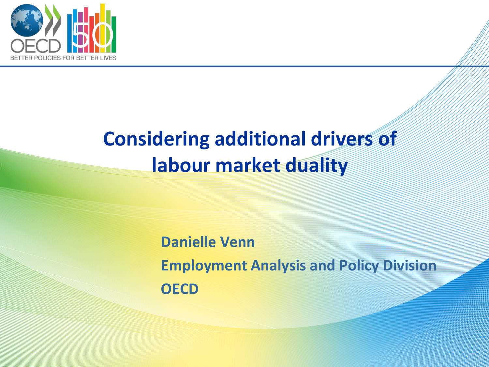

### **Considering additional drivers of labour market duality**

**Danielle Venn Employment Analysis and Policy Division OECD**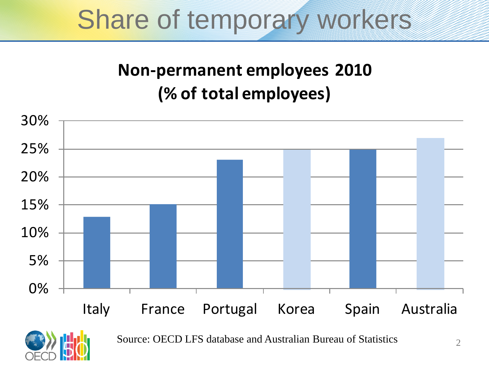### Share of temporary workers

#### **Non-permanent employees 2010 (% of total employees)**





Source: OECD LFS database and Australian Bureau of Statistics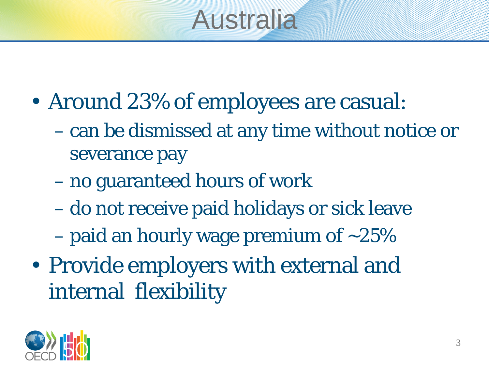# Australia

- Around 23% of employees are casual:
	- can be dismissed at any time without notice or severance pay
	- no guaranteed hours of work
	- do not receive paid holidays or sick leave
	- paid an hourly wage premium of  $\sim$ 25%
- Provide employers with external and internal flexibility

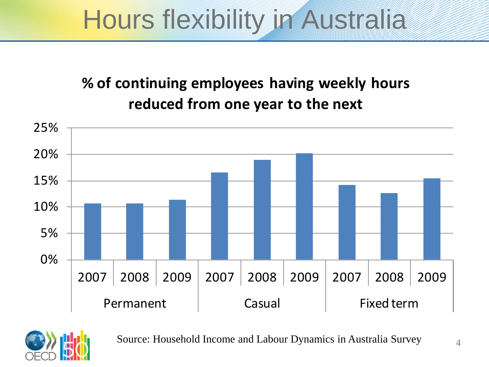# Hours flexibility in Australia

#### **% of continuing employees having weekly hours reduced from one year to the next**





Source: Household Income and Labour Dynamics in Australia Survey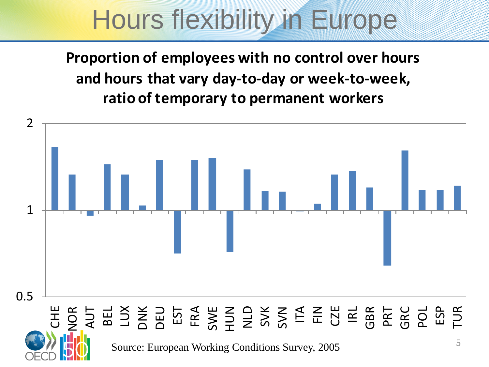## Hours flexibility in Europe

**Proportion of employees with no control over hours and hours that vary day-to-day or week-to-week, ratio of temporary to permanent workers**

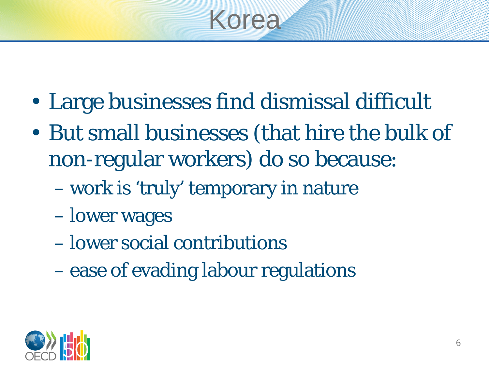

- Large businesses find dismissal difficult
- But small businesses (that hire the bulk of non-regular workers) do so because:
	- work is 'truly' temporary in nature
	- lower wages
	- lower social contributions
	- ease of evading labour regulations

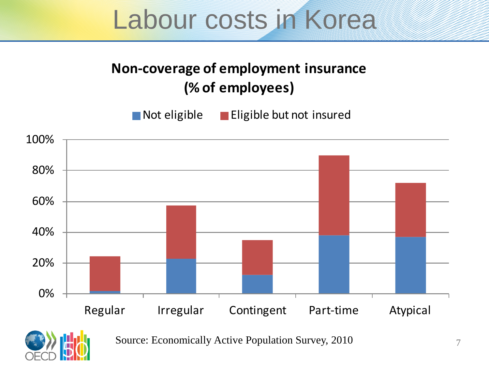### Labour costs in Korea

#### **Non-coverage of employment insurance (% of employees)**

Not eligible Eligible but not insured





Source: Economically Active Population Survey, 2010